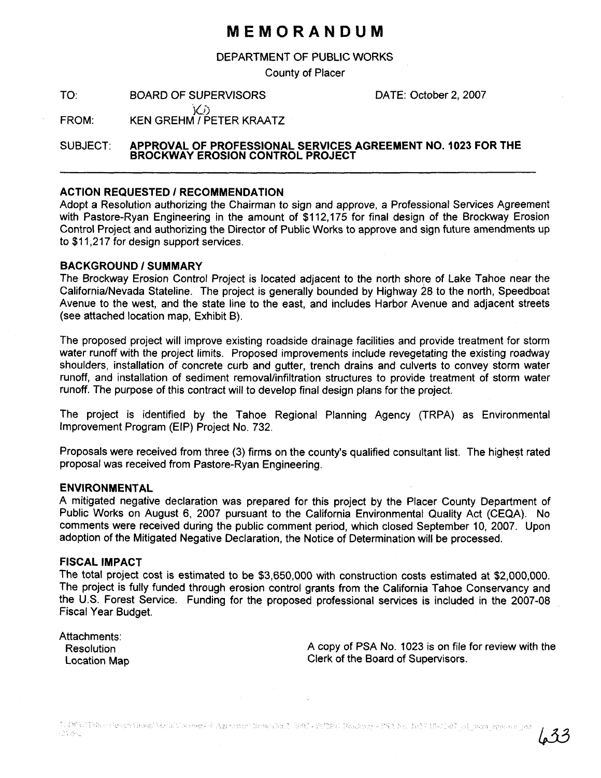# **MEMORANDUM**

DEPARTMENT OF PUBLIC WORKS

County of Placer

TO: BOARD OF SUPERVISORS FOR DATE: October 2, 2007

**iO.** BOARD OF SUPERVISORS<br>(1)<br>FROM: KEN GREHM / PETER KRAATZ

SUBJECT: **APPROVAL OF PROFESSlONAL SERVICES AGREEMENT NO. 1023 FOR THE BROCKWAY EROSION CONTROL PROJECT** 

### **ACTION REQUESTED I RECOMMENDATION**

Adopt a Resolution authorizing the Chairman to sign and approve, a Professional Services Agreement with Pastore-Ryan Engineering in the amount of \$112,175 for final design of the Brockway Erosion Control Project and authorizing the Director of Public Works to approve and sign future amendments up to \$11,217 for design support services.

#### **BACKGROUND 1 SUMMARY**

The Brockway Erosion Control Project is located adjacent to the north shore of Lake Tahoe near the CaliforniaINevada Stateline. The project is generally bounded by Highway 28 to the north, Speedboat Avenue to the west, and the state line to the east, and includes Harbor Avenue and adjacent streets (see attached location map, Exhibit B).

The proposed project will improve existing roadside drainage facilities and provide treatment for storm water runoff with the project limits. Proposed improvements include revegetating the existing roadway shoulders, installation of concrete curb and gutter, trench drains and culverts to convey storm water runoff, and installation of sediment removal/infiltration structures to provide treatment of storm water runoff. The purpose of this contract will to develop final design plans for the project.

The project is identified by the Tahoe Regional Planning Agency (TRPA) as Environmental Improvement Program (EIP) Project No. 732.

Proposals were received from three (3) firms on the county's qualified consultant list. The highest rated proposal was received from Pastore-Ryan Engineering.

#### **ENVIRONMENTAL**

A mitigated negative declaration was prepared for this project by the Placer County Department of Public Works on August 6, 2007 pursuant to the California Environmental Quality Act (CEQA). No comments were received during the public comment period, which closed September 10, 2007. Upon adoption of the Mitigated Negative Declaration, the Notice of Determination will be processed.

## **FISCAL IMPACT**

The total project cost is estimated to be \$3,650,000 with construction costs estimated at \$2,000,000. The project is fully funded through erosion control grants from the California Tahoe Conservancy and the U.S. Forest Service. Funding for the proposed professional services is included in the 2007-08 Fiscal Year Budget.

| Attachments: |
|--------------|
| Resolution   |
| Location Map |

A copy of PSA No. 1023 is on file for review with the Clerk of the Board of Supervisors.

 $633$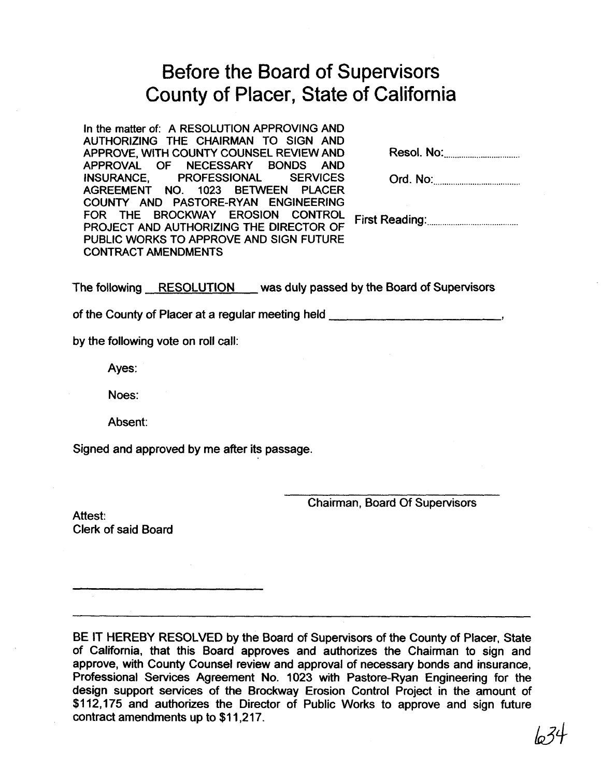# Before the Board of Supervisors County of Placer, State of California

In the matter of: A RESOLUTION APPROVING AND AUTHORIZING THE CHAIRMAN TO SIGN AND APPROVE, WITH COUNTY COUNSEL REVIEW AND Resol. No: .............................. APPROVAL OF NECESSARY BONDS AND INSURANCE, PROFESSIONAL SERVICES AGREEMENT NO. 1023 BETWEEN PLACER COUNTY AND PASTORE-RYAN ENGINEERING FOR THE BROCKWAY EROSION CONTROL .......................................... PROJECT AND AUTHORIZING THE DIRECTOR OF First Reading: PUBLIC WORKS TO APPROVE AND SIGN FUTURE CONTRACT AMENDMENTS

| Ord. No: |  |
|----------|--|
|----------|--|

The following RESOLUTION was duly passed by the Board of Supervisors

of the County of Placer at a regular meeting held **<sup>I</sup>**

by the following vote on roll call:

Ayes:

Noes:

Absent:

Signed and approved by me after its passage.

Chairman, Board Of Supervisors

Attest: Clerk of said Board

BE IT HEREBY RESOLVED by the Board of Supervisors of the County of Placer, State of California, that this Board approves and authorizes the Chairman to sign and approve, with County Counsel review and approval of necessary bonds and insurance, Professional Services Agreement No. 1023 with Pastore-Ryan Engineering for the design support services of the Brockway Erosion Control Project in the amount of \$112,175 and authorizes the Director of Public Works to approve and sign future contract amendments up to \$11,217.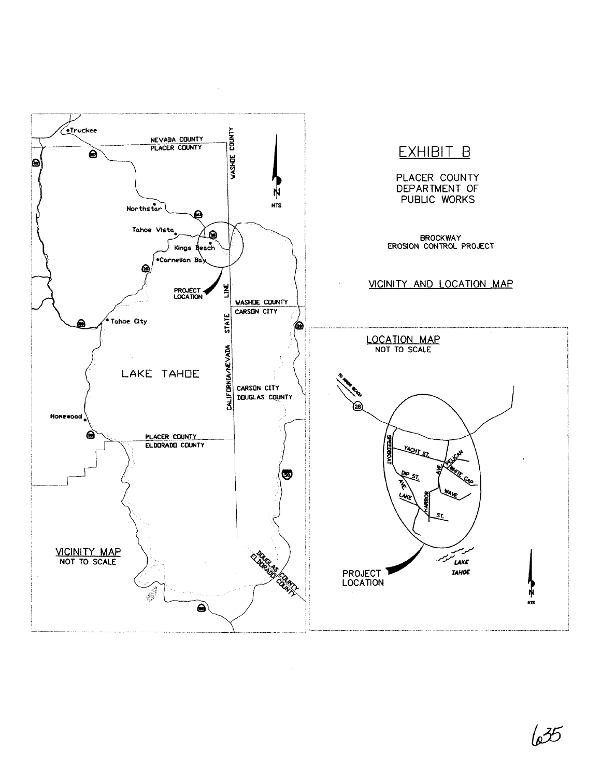